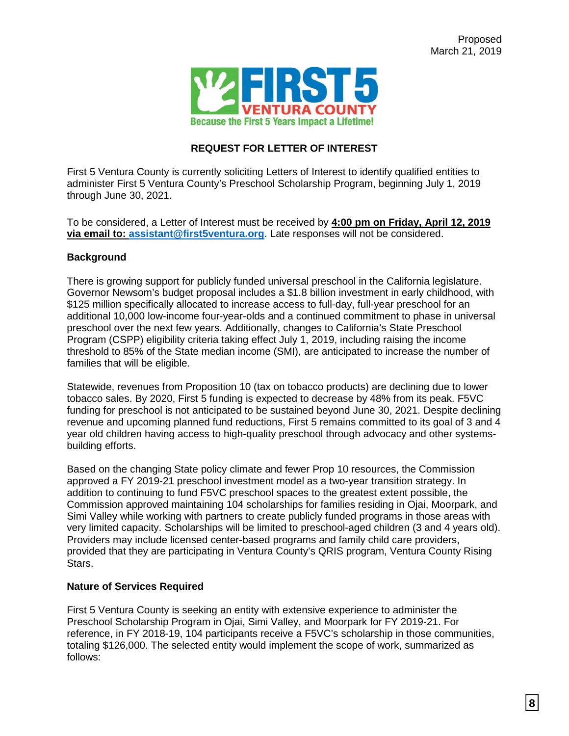

# **REQUEST FOR LETTER OF INTEREST**

First 5 Ventura County is currently soliciting Letters of Interest to identify qualified entities to administer First 5 Ventura County's Preschool Scholarship Program, beginning July 1, 2019 through June 30, 2021.

To be considered, a Letter of Interest must be received by **4:00 pm on Friday, April 12, 2019 via email to: assistant@first5ventura.org**. Late responses will not be considered.

## **Background**

There is growing support for publicly funded universal preschool in the California legislature. Governor Newsom's budget proposal includes a \$1.8 billion investment in early childhood, with \$125 million specifically allocated to increase access to full-day, full-year preschool for an additional 10,000 low-income four-year-olds and a continued commitment to phase in universal preschool over the next few years. Additionally, changes to California's State Preschool Program (CSPP) eligibility criteria taking effect July 1, 2019, including raising the income threshold to 85% of the State median income (SMI), are anticipated to increase the number of families that will be eligible.

Statewide, revenues from Proposition 10 (tax on tobacco products) are declining due to lower tobacco sales. By 2020, First 5 funding is expected to decrease by 48% from its peak. F5VC funding for preschool is not anticipated to be sustained beyond June 30, 2021. Despite declining revenue and upcoming planned fund reductions, First 5 remains committed to its goal of 3 and 4 year old children having access to high-quality preschool through advocacy and other systemsbuilding efforts.

Based on the changing State policy climate and fewer Prop 10 resources, the Commission approved a FY 2019-21 preschool investment model as a two-year transition strategy. In addition to continuing to fund F5VC preschool spaces to the greatest extent possible, the Commission approved maintaining 104 scholarships for families residing in Ojai, Moorpark, and Simi Valley while working with partners to create publicly funded programs in those areas with very limited capacity. Scholarships will be limited to preschool-aged children (3 and 4 years old). Providers may include licensed center-based programs and family child care providers, provided that they are participating in Ventura County's QRIS program, Ventura County Rising Stars.

#### **Nature of Services Required**

First 5 Ventura County is seeking an entity with extensive experience to administer the Preschool Scholarship Program in Ojai, Simi Valley, and Moorpark for FY 2019-21. For reference, in FY 2018-19, 104 participants receive a F5VC's scholarship in those communities, totaling \$126,000. The selected entity would implement the scope of work, summarized as follows: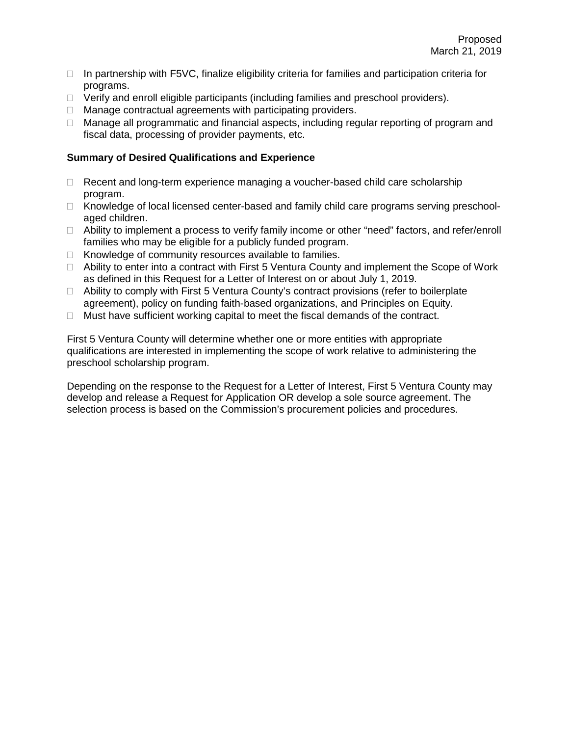- $\Box$  In partnership with F5VC, finalize eligibility criteria for families and participation criteria for programs.
- $\Box$  Verify and enroll eligible participants (including families and preschool providers).
- $\Box$  Manage contractual agreements with participating providers.
- □ Manage all programmatic and financial aspects, including regular reporting of program and fiscal data, processing of provider payments, etc.

### **Summary of Desired Qualifications and Experience**

- $\Box$  Recent and long-term experience managing a voucher-based child care scholarship program.
- □ Knowledge of local licensed center-based and family child care programs serving preschoolaged children.
- $\Box$  Ability to implement a process to verify family income or other "need" factors, and refer/enroll families who may be eligible for a publicly funded program.
- $\Box$  Knowledge of community resources available to families.
- $\Box$  Ability to enter into a contract with First 5 Ventura County and implement the Scope of Work as defined in this Request for a Letter of Interest on or about July 1, 2019.
- □ Ability to comply with First 5 Ventura County's contract provisions (refer to boilerplate agreement), policy on funding faith-based organizations, and Principles on Equity.
- $\Box$  Must have sufficient working capital to meet the fiscal demands of the contract.

First 5 Ventura County will determine whether one or more entities with appropriate qualifications are interested in implementing the scope of work relative to administering the preschool scholarship program.

Depending on the response to the Request for a Letter of Interest, First 5 Ventura County may develop and release a Request for Application OR develop a sole source agreement. The selection process is based on the Commission's procurement policies and procedures.